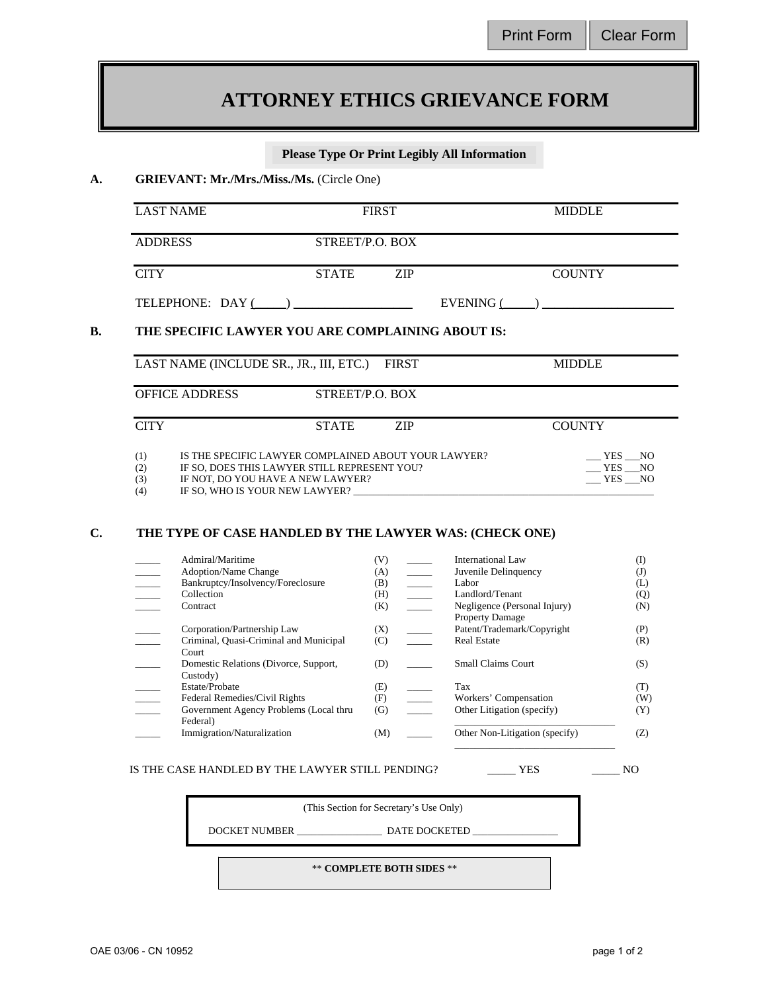## Print Form | Clear Form

# **ATTORNEY ETHICS GRIEVANCE FORM**

## **Please Type Or Print Legibly All Information**

#### **A. GRIEVANT: Mr./Mrs./Miss./Ms.** (Circle One)

| LAST NAME        |                 | <b>FIRST</b> |                  | <b>MIDDLE</b> |
|------------------|-----------------|--------------|------------------|---------------|
| <b>ADDRESS</b>   | STREET/P.O. BOX |              |                  |               |
| <b>CITY</b>      | <b>STATE</b>    | 7.IP         |                  | <b>COUNTY</b> |
| TELEPHONE: DAY ( |                 |              | <b>EVENING</b> ( |               |

## **B. THE SPECIFIC LAWYER YOU ARE COMPLAINING ABOUT IS:**

| LAST NAME (INCLUDE SR., JR., III, ETC.)  | <b>FIRST</b>                                         | <b>MIDDLE</b> |  |  |
|------------------------------------------|------------------------------------------------------|---------------|--|--|
| <b>OFFICE ADDRESS</b>                    | STREET/P.O. BOX                                      |               |  |  |
| <b>CITY</b>                              | <b>STATE</b><br>7.IP                                 | <b>COUNTY</b> |  |  |
| (1)                                      | IS THE SPECIFIC LAWYER COMPLAINED ABOUT YOUR LAWYER? | YES NO        |  |  |
| (2)                                      | IF SO, DOES THIS LAWYER STILL REPRESENT YOU?         |               |  |  |
| IF NOT, DO YOU HAVE A NEW LAWYER?<br>(3) |                                                      | YES NO        |  |  |

 $(4)$  IF SO, WHO IS YOUR NEW LAWYER?

## **C. THE TYPE OF CASE HANDLED BY THE LAWYER WAS: (CHECK ONE)**

| Admiral/Maritime                       | (V) | International Law              | (I) |
|----------------------------------------|-----|--------------------------------|-----|
| <b>Adoption/Name Change</b>            | (A) | Juvenile Delinquency           | (J) |
| Bankruptcy/Insolvency/Foreclosure      | (B) | Labor                          | (L) |
| Collection                             | (H) | Landlord/Tenant                | (Q) |
| Contract                               | (K) | Negligence (Personal Injury)   | (N) |
|                                        |     | <b>Property Damage</b>         |     |
| Corporation/Partnership Law            | (X) | Patent/Trademark/Copyright     | (P) |
| Criminal, Quasi-Criminal and Municipal | (C) | <b>Real Estate</b>             | (R) |
| Court                                  |     |                                |     |
| Domestic Relations (Divorce, Support,  | (D) | Small Claims Court             | (S) |
| Custody)                               |     |                                |     |
| Estate/Probate                         | (E) | Tax                            | (T) |
| Federal Remedies/Civil Rights          | (F) | Workers' Compensation          | (W) |
| Government Agency Problems (Local thru | (G) | Other Litigation (specify)     | (Y) |
| Federal)                               |     |                                |     |
| Immigration/Naturalization             | (M) | Other Non-Litigation (specify) | (Z) |
|                                        |     |                                |     |

## IS THE CASE HANDLED BY THE LAWYER STILL PENDING? \_\_\_\_\_ YES \_\_\_\_\_ NO

(This Section for Secretary's Use Only)

DOCKET NUMBER \_\_\_\_\_\_\_\_\_\_\_\_\_\_\_\_\_ DATE DOCKETED \_\_\_\_\_\_\_\_\_\_\_\_\_\_\_\_\_

\*\* **COMPLETE BOTH SIDES** \*\*